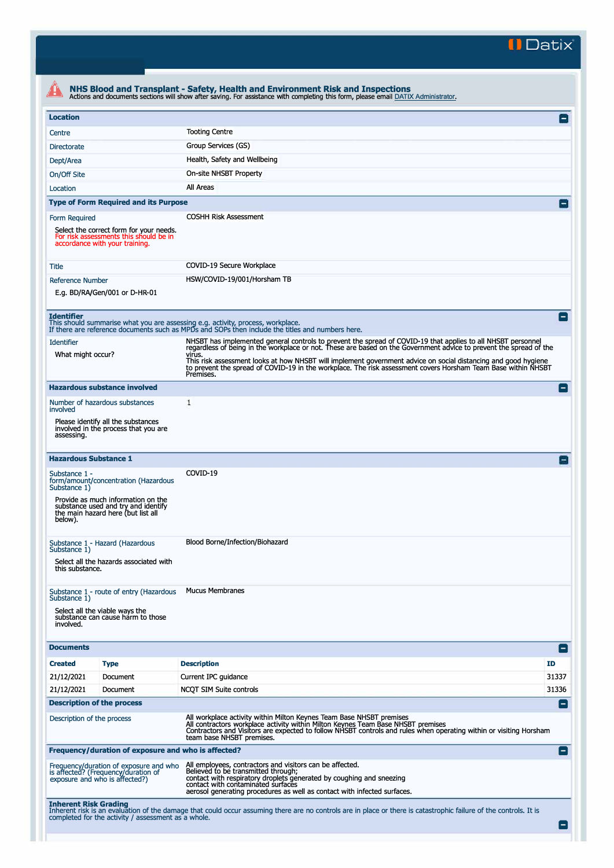**II Datix"** 

| <b>Location</b>                                                                                                                      |                                                                                                                                                                                                                                                                                                                                                                                                                                                                                                                                                                                                                                                                        | $\Box$             |  |
|--------------------------------------------------------------------------------------------------------------------------------------|------------------------------------------------------------------------------------------------------------------------------------------------------------------------------------------------------------------------------------------------------------------------------------------------------------------------------------------------------------------------------------------------------------------------------------------------------------------------------------------------------------------------------------------------------------------------------------------------------------------------------------------------------------------------|--------------------|--|
| Centre                                                                                                                               | <b>Tooting Centre</b>                                                                                                                                                                                                                                                                                                                                                                                                                                                                                                                                                                                                                                                  |                    |  |
| <b>Directorate</b>                                                                                                                   | Group Services (GS)                                                                                                                                                                                                                                                                                                                                                                                                                                                                                                                                                                                                                                                    |                    |  |
| Dept/Area                                                                                                                            | Health, Safety and Wellbeing                                                                                                                                                                                                                                                                                                                                                                                                                                                                                                                                                                                                                                           |                    |  |
| On/Off Site                                                                                                                          | On-site NHSBT Property                                                                                                                                                                                                                                                                                                                                                                                                                                                                                                                                                                                                                                                 |                    |  |
| Location                                                                                                                             | All Areas                                                                                                                                                                                                                                                                                                                                                                                                                                                                                                                                                                                                                                                              |                    |  |
| <b>Type of Form Required and its Purpose</b>                                                                                         |                                                                                                                                                                                                                                                                                                                                                                                                                                                                                                                                                                                                                                                                        |                    |  |
| Form Required<br>Select the correct form for your needs.<br>For risk assessments this should be in<br>accordance with your training. | <b>COSHH Risk Assessment</b>                                                                                                                                                                                                                                                                                                                                                                                                                                                                                                                                                                                                                                           |                    |  |
| Title                                                                                                                                | COVID-19 Secure Workplace                                                                                                                                                                                                                                                                                                                                                                                                                                                                                                                                                                                                                                              |                    |  |
| <b>Reference Number</b>                                                                                                              | HSW/COVID-19/001/Horsham TB                                                                                                                                                                                                                                                                                                                                                                                                                                                                                                                                                                                                                                            |                    |  |
| E.g. BD/RA/Gen/001 or D-HR-01                                                                                                        |                                                                                                                                                                                                                                                                                                                                                                                                                                                                                                                                                                                                                                                                        |                    |  |
| <b>Identifier</b><br><b>Identifier</b><br>What might occur?                                                                          | This should summarise what you are assessing e.g. activity, process, workplace.<br>If there are reference documents such as MPDs and SOPs then include the titles and numbers here.<br>NHSBT has implemented general controls to prevent the spread of COVID-19 that applies to all NHSBT personnel<br>regardless of being in the workplace or not. These are based on the Government advice to prevent the spread of the<br>virus.<br>This risk assessment looks at how NHSBT will implement government advice on social distancing and good hygiene<br>to prevent the spread of COVID-19 in the workplace. The risk assessment covers Horsham Team Base within NHSBT |                    |  |
|                                                                                                                                      | Premises.                                                                                                                                                                                                                                                                                                                                                                                                                                                                                                                                                                                                                                                              |                    |  |
| <b>Hazardous substance involved</b><br>Number of hazardous substances                                                                | 1                                                                                                                                                                                                                                                                                                                                                                                                                                                                                                                                                                                                                                                                      | Е.                 |  |
| involved                                                                                                                             |                                                                                                                                                                                                                                                                                                                                                                                                                                                                                                                                                                                                                                                                        |                    |  |
| Please identify all the substances<br>involved in the process that you are<br>assessing.                                             |                                                                                                                                                                                                                                                                                                                                                                                                                                                                                                                                                                                                                                                                        |                    |  |
| <b>Hazardous Substance 1</b>                                                                                                         |                                                                                                                                                                                                                                                                                                                                                                                                                                                                                                                                                                                                                                                                        |                    |  |
| Substance 1 -<br>form/amount/concentration (Hazardous<br>Substance 1)<br>Provide as much information on the                          | COVID-19                                                                                                                                                                                                                                                                                                                                                                                                                                                                                                                                                                                                                                                               |                    |  |
| substance used and try and identify<br>the main hazard here (but list all<br>below).                                                 |                                                                                                                                                                                                                                                                                                                                                                                                                                                                                                                                                                                                                                                                        |                    |  |
| Substance 1 - Hazard (Hazardous                                                                                                      | Blood Borne/Infection/Biohazard                                                                                                                                                                                                                                                                                                                                                                                                                                                                                                                                                                                                                                        |                    |  |
| Substance 1)<br>Select all the hazards associated with<br>this substance.                                                            |                                                                                                                                                                                                                                                                                                                                                                                                                                                                                                                                                                                                                                                                        |                    |  |
| Substance 1 - route of entry (Hazardous<br>Substance 1)                                                                              | <b>Mucus Membranes</b>                                                                                                                                                                                                                                                                                                                                                                                                                                                                                                                                                                                                                                                 |                    |  |
| Select all the viable ways the<br>substance can cause harm to those<br>involved.                                                     |                                                                                                                                                                                                                                                                                                                                                                                                                                                                                                                                                                                                                                                                        |                    |  |
| <b>Documents</b>                                                                                                                     |                                                                                                                                                                                                                                                                                                                                                                                                                                                                                                                                                                                                                                                                        | -1                 |  |
| <b>Created</b><br><b>Type</b>                                                                                                        | <b>Description</b>                                                                                                                                                                                                                                                                                                                                                                                                                                                                                                                                                                                                                                                     | ID.                |  |
| 21/12/2021<br>Document                                                                                                               | Current IPC guidance                                                                                                                                                                                                                                                                                                                                                                                                                                                                                                                                                                                                                                                   | 31337              |  |
| 21/12/2021<br>Document                                                                                                               | NCQT SIM Suite controls                                                                                                                                                                                                                                                                                                                                                                                                                                                                                                                                                                                                                                                | 31336              |  |
| <b>Description of the process</b>                                                                                                    |                                                                                                                                                                                                                                                                                                                                                                                                                                                                                                                                                                                                                                                                        | -1                 |  |
| Description of the process                                                                                                           | All workplace activity within Milton Keynes Team Base NHSBT premises<br>All contractors workplace activity within Milton Keynes Team Base NHSBT premises<br>Contractors and Visitors are expected to follow NHSBT controls and rules when operating within or visiting Horsham<br>team base NHSBT premises.                                                                                                                                                                                                                                                                                                                                                            |                    |  |
| Frequency/duration of exposure and who is affected?                                                                                  |                                                                                                                                                                                                                                                                                                                                                                                                                                                                                                                                                                                                                                                                        | $\left  - \right $ |  |
| Frequency/duration of exposure and who<br>is affected? (Frequency/duration of<br>exposure and who is affected?)                      | All employees, contractors and visitors can be affected.<br>Believed to be transmitted through;<br>contact with respiratory droplets generated by coughing and sneezing<br>contact with contaminated surfaces                                                                                                                                                                                                                                                                                                                                                                                                                                                          |                    |  |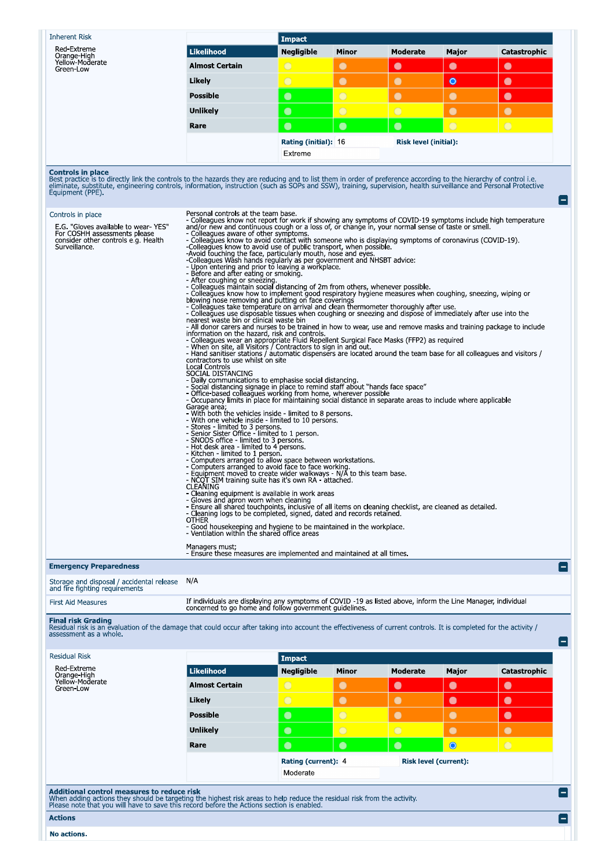**Inherent Risk** 

Red-Extreme<br>Orange-High<br>Yellow-Moderate<br>Green-Low

|                       | <b>Impact</b>        |              |                              |            |              |  |
|-----------------------|----------------------|--------------|------------------------------|------------|--------------|--|
| Likelihood            | <b>Negligible</b>    | <b>Minor</b> | <b>Moderate</b>              | Major      | Catastrophic |  |
| <b>Almost Certain</b> | $\bigcirc$           |              |                              |            | $\bullet$    |  |
| Likely                |                      |              |                              | $\bullet$  | $\bullet$    |  |
| <b>Possible</b>       | $\bullet$            | $\bigcirc$   |                              |            | $\bullet$    |  |
| <b>Unlikely</b>       | $\bullet$            | $\bigcirc$   |                              |            | O            |  |
| Rare                  | $\bullet$            | C            | $\bullet$                    | $\bigcirc$ | $\bigcirc$   |  |
|                       | Rating (initial): 16 |              | <b>Risk level (initial):</b> |            |              |  |
|                       | Extreme              |              |                              |            |              |  |

**Controls in place**<br>Best practice is to directly link the controls to the hazards they are reducing and to list them in order of preference according to the hierarchy of control i.e.<br>Best practice is to directly link the c

| $L$ quipment $(1 + L)$                                                                                                                                                                                                                                                    |                                                                                                                                                                                                                                                                                                                                                                                                                                                                                                                                                                                                                                                                                                                                                                                                                                                                                                                                                                                                                                                                                                                                                                                                                                                                                                                                                                                                                                                                                                                                                                                                                                                                                                                                                                                                                                                                                                                                                                                                                                                                                                                                                                                                                                                                                                                                                                                                                                                                                                                                                                                                                                                                                                                                                                                                                                                                                                                                                                                                                                                                                                                                                                              |                                    |                |                 |           |              |        |
|---------------------------------------------------------------------------------------------------------------------------------------------------------------------------------------------------------------------------------------------------------------------------|------------------------------------------------------------------------------------------------------------------------------------------------------------------------------------------------------------------------------------------------------------------------------------------------------------------------------------------------------------------------------------------------------------------------------------------------------------------------------------------------------------------------------------------------------------------------------------------------------------------------------------------------------------------------------------------------------------------------------------------------------------------------------------------------------------------------------------------------------------------------------------------------------------------------------------------------------------------------------------------------------------------------------------------------------------------------------------------------------------------------------------------------------------------------------------------------------------------------------------------------------------------------------------------------------------------------------------------------------------------------------------------------------------------------------------------------------------------------------------------------------------------------------------------------------------------------------------------------------------------------------------------------------------------------------------------------------------------------------------------------------------------------------------------------------------------------------------------------------------------------------------------------------------------------------------------------------------------------------------------------------------------------------------------------------------------------------------------------------------------------------------------------------------------------------------------------------------------------------------------------------------------------------------------------------------------------------------------------------------------------------------------------------------------------------------------------------------------------------------------------------------------------------------------------------------------------------------------------------------------------------------------------------------------------------------------------------------------------------------------------------------------------------------------------------------------------------------------------------------------------------------------------------------------------------------------------------------------------------------------------------------------------------------------------------------------------------------------------------------------------------------------------------------------------------|------------------------------------|----------------|-----------------|-----------|--------------|--------|
| Controls in place<br>E.G. "Gloves available to wear-YES"<br>For COSHH assessments please<br>consider other controls e.g. Health<br>Surveillance.                                                                                                                          | Personal controls at the team base.<br>- Colleagues know not report for work if showing any symptoms of COVID-19 symptoms include high temperature<br>and/or new and continuous cough or a loss of, or change in, your normal sense of taste or smell.<br>- Colleagues aware of other symptoms.<br>- Colleagues know to avoid contact with someone who is displaying symptoms of coronavirus (COVID-19).<br>-Colleagues know to avoid use of public transport, when possible.<br>-Avoid touching the face, particularly mouth, nose and eyes<br>-Colleagues Wash hands regularly as per government and NHSBT advice:<br>- Upon entering and prior to leaving a workplace.<br>- Before and after eating or smoking.<br>- After coughing or sneezing.<br>- Colleagues maintain social distancing of 2m from others, whenever possible.<br>- Colleagues know how to implement good respiratory hygiene measures when coughing, sneezing, wiping or<br>blowing nose removing and putting on face coverings<br>- Colleagues take temperature on arrival and clean thermometer thoroughly after use.<br>- Colleagues use disposable tissues when coughing or sneezing and dispose of immediately after use into the<br>nearest waste bin or clinical waste bin<br>- All donor carers and nurses to be trained in how to wear, use and remove masks and training package to include<br>information on the hazard, risk and controls.<br>- Colleagues wear an appropriate Fluid Repellent Surgical Face Masks (FFP2) as required<br>- When on site, all Visitors / Contractors to sign in and out.<br>- Hand sanitiser stations / automatic dispensers are located around the team base for all colleagues and visitors /<br>contractors to use whilst on site<br>Local Controls<br>SOCIAL DISTANCING<br>- Daily communications to emphasise social distancing.<br>- Social distancing signage in place to remind staff about "hands face space"<br>- Office-based colleagues working from home, wherever possible<br>- Occupancy limits in place for maintaining social distance in separate areas to include where applicable<br>Garage area;<br>- With both the vehicles inside - limited to 8 persons.<br>- With one vehicle inside - limited to 10 persons.<br>- Stores - limited to 3 persons.<br>- Senior Sister Office - limited to 1 person.<br>- SNODS office - limited to 3 persons.<br>- Hot desk area - limited to 4 persons.<br>- Kitchen - limited to 1 person.<br>- Computers arranged to allow space between workstations.<br>- Computers arranged to avoid face to face working.<br>- Equipment moved to create wider walkways - N/A to this team base.<br>- NCQT SIM training suite has it's own RA - attached<br>CLEAÑING<br>- Cleaning equipment is available in work areas<br>- Gloves and apron worn when cleaning<br>- Ensure all shared touchpoints, inclusive of all items on cleaning checklist, are cleaned as detailed.<br>- Cleaning logs to be completed, signed, dated and records retained.<br><b>OTHER</b><br>- Good housekeeping and hygiene to be maintained in the workplace.<br>- Ventilation within the shared office areas<br>Managers must; |                                    |                |                 |           |              |        |
| <b>Emergency Preparedness</b>                                                                                                                                                                                                                                             | - Ensure these measures are implemented and maintained at all times.                                                                                                                                                                                                                                                                                                                                                                                                                                                                                                                                                                                                                                                                                                                                                                                                                                                                                                                                                                                                                                                                                                                                                                                                                                                                                                                                                                                                                                                                                                                                                                                                                                                                                                                                                                                                                                                                                                                                                                                                                                                                                                                                                                                                                                                                                                                                                                                                                                                                                                                                                                                                                                                                                                                                                                                                                                                                                                                                                                                                                                                                                                         |                                    |                |                 |           |              |        |
| Storage and disposal / accidental release<br>and fire fighting requirements                                                                                                                                                                                               | N/A                                                                                                                                                                                                                                                                                                                                                                                                                                                                                                                                                                                                                                                                                                                                                                                                                                                                                                                                                                                                                                                                                                                                                                                                                                                                                                                                                                                                                                                                                                                                                                                                                                                                                                                                                                                                                                                                                                                                                                                                                                                                                                                                                                                                                                                                                                                                                                                                                                                                                                                                                                                                                                                                                                                                                                                                                                                                                                                                                                                                                                                                                                                                                                          |                                    |                |                 |           |              |        |
| <b>First Aid Measures</b>                                                                                                                                                                                                                                                 | If individuals are displaying any symptoms of COVID -19 as listed above, inform the Line Manager, individual<br>concerned to go home and follow government guidelines.                                                                                                                                                                                                                                                                                                                                                                                                                                                                                                                                                                                                                                                                                                                                                                                                                                                                                                                                                                                                                                                                                                                                                                                                                                                                                                                                                                                                                                                                                                                                                                                                                                                                                                                                                                                                                                                                                                                                                                                                                                                                                                                                                                                                                                                                                                                                                                                                                                                                                                                                                                                                                                                                                                                                                                                                                                                                                                                                                                                                       |                                    |                |                 |           |              |        |
| <b>Final risk Grading</b><br>Residual risk is an evaluation of the damage that could occur after taking into account the effectiveness of current controls. It is completed for the activity /<br>assessment as a whole.<br><b>Residual Risk</b>                          |                                                                                                                                                                                                                                                                                                                                                                                                                                                                                                                                                                                                                                                                                                                                                                                                                                                                                                                                                                                                                                                                                                                                                                                                                                                                                                                                                                                                                                                                                                                                                                                                                                                                                                                                                                                                                                                                                                                                                                                                                                                                                                                                                                                                                                                                                                                                                                                                                                                                                                                                                                                                                                                                                                                                                                                                                                                                                                                                                                                                                                                                                                                                                                              |                                    |                |                 |           |              |        |
| Red-Extreme                                                                                                                                                                                                                                                               | <b>Likelihood</b>                                                                                                                                                                                                                                                                                                                                                                                                                                                                                                                                                                                                                                                                                                                                                                                                                                                                                                                                                                                                                                                                                                                                                                                                                                                                                                                                                                                                                                                                                                                                                                                                                                                                                                                                                                                                                                                                                                                                                                                                                                                                                                                                                                                                                                                                                                                                                                                                                                                                                                                                                                                                                                                                                                                                                                                                                                                                                                                                                                                                                                                                                                                                                            | <b>Impact</b><br><b>Negligible</b> | Minor          | <b>Moderate</b> | Major     | Catastrophic |        |
| Orange-High<br>Yellow-Moderate<br>Green-Low                                                                                                                                                                                                                               | <b>Almost Certain</b>                                                                                                                                                                                                                                                                                                                                                                                                                                                                                                                                                                                                                                                                                                                                                                                                                                                                                                                                                                                                                                                                                                                                                                                                                                                                                                                                                                                                                                                                                                                                                                                                                                                                                                                                                                                                                                                                                                                                                                                                                                                                                                                                                                                                                                                                                                                                                                                                                                                                                                                                                                                                                                                                                                                                                                                                                                                                                                                                                                                                                                                                                                                                                        | $\bigcirc$                         | $\bullet$      | $\bullet$       | $\bullet$ | $\bullet$    |        |
|                                                                                                                                                                                                                                                                           | Likely                                                                                                                                                                                                                                                                                                                                                                                                                                                                                                                                                                                                                                                                                                                                                                                                                                                                                                                                                                                                                                                                                                                                                                                                                                                                                                                                                                                                                                                                                                                                                                                                                                                                                                                                                                                                                                                                                                                                                                                                                                                                                                                                                                                                                                                                                                                                                                                                                                                                                                                                                                                                                                                                                                                                                                                                                                                                                                                                                                                                                                                                                                                                                                       | $\overline{\bigcirc}$              | $\bullet$      | $\bullet$       | $\bullet$ | $\bullet$    |        |
|                                                                                                                                                                                                                                                                           | <b>Possible</b>                                                                                                                                                                                                                                                                                                                                                                                                                                                                                                                                                                                                                                                                                                                                                                                                                                                                                                                                                                                                                                                                                                                                                                                                                                                                                                                                                                                                                                                                                                                                                                                                                                                                                                                                                                                                                                                                                                                                                                                                                                                                                                                                                                                                                                                                                                                                                                                                                                                                                                                                                                                                                                                                                                                                                                                                                                                                                                                                                                                                                                                                                                                                                              | $\bullet$                          | $\bigcirc$     | $\bullet$       | $\bullet$ | $\bullet$    |        |
|                                                                                                                                                                                                                                                                           | <b>Unlikely</b>                                                                                                                                                                                                                                                                                                                                                                                                                                                                                                                                                                                                                                                                                                                                                                                                                                                                                                                                                                                                                                                                                                                                                                                                                                                                                                                                                                                                                                                                                                                                                                                                                                                                                                                                                                                                                                                                                                                                                                                                                                                                                                                                                                                                                                                                                                                                                                                                                                                                                                                                                                                                                                                                                                                                                                                                                                                                                                                                                                                                                                                                                                                                                              | $\bullet$                          | $\overline{O}$ | $\bigcirc$      | $\bullet$ | $\bullet$    |        |
|                                                                                                                                                                                                                                                                           | Rare                                                                                                                                                                                                                                                                                                                                                                                                                                                                                                                                                                                                                                                                                                                                                                                                                                                                                                                                                                                                                                                                                                                                                                                                                                                                                                                                                                                                                                                                                                                                                                                                                                                                                                                                                                                                                                                                                                                                                                                                                                                                                                                                                                                                                                                                                                                                                                                                                                                                                                                                                                                                                                                                                                                                                                                                                                                                                                                                                                                                                                                                                                                                                                         | $\bullet$                          | $\bullet$      | $\bullet$       | $\bullet$ | $\bigcirc$   |        |
|                                                                                                                                                                                                                                                                           | Rating (current): 4<br><b>Risk level (current):</b><br>Moderate                                                                                                                                                                                                                                                                                                                                                                                                                                                                                                                                                                                                                                                                                                                                                                                                                                                                                                                                                                                                                                                                                                                                                                                                                                                                                                                                                                                                                                                                                                                                                                                                                                                                                                                                                                                                                                                                                                                                                                                                                                                                                                                                                                                                                                                                                                                                                                                                                                                                                                                                                                                                                                                                                                                                                                                                                                                                                                                                                                                                                                                                                                              |                                    |                |                 |           |              |        |
| <b>Additional control measures to reduce risk</b><br>When adding actions they should be targeting the highest risk areas to help reduce the residual risk from the activity.<br>Please note that you will have to save this record before the Actions section is enabled. |                                                                                                                                                                                                                                                                                                                                                                                                                                                                                                                                                                                                                                                                                                                                                                                                                                                                                                                                                                                                                                                                                                                                                                                                                                                                                                                                                                                                                                                                                                                                                                                                                                                                                                                                                                                                                                                                                                                                                                                                                                                                                                                                                                                                                                                                                                                                                                                                                                                                                                                                                                                                                                                                                                                                                                                                                                                                                                                                                                                                                                                                                                                                                                              |                                    |                |                 |           |              | $\Box$ |
| <b>Actions</b>                                                                                                                                                                                                                                                            |                                                                                                                                                                                                                                                                                                                                                                                                                                                                                                                                                                                                                                                                                                                                                                                                                                                                                                                                                                                                                                                                                                                                                                                                                                                                                                                                                                                                                                                                                                                                                                                                                                                                                                                                                                                                                                                                                                                                                                                                                                                                                                                                                                                                                                                                                                                                                                                                                                                                                                                                                                                                                                                                                                                                                                                                                                                                                                                                                                                                                                                                                                                                                                              |                                    |                |                 |           |              | ۸      |
| No actions.                                                                                                                                                                                                                                                               |                                                                                                                                                                                                                                                                                                                                                                                                                                                                                                                                                                                                                                                                                                                                                                                                                                                                                                                                                                                                                                                                                                                                                                                                                                                                                                                                                                                                                                                                                                                                                                                                                                                                                                                                                                                                                                                                                                                                                                                                                                                                                                                                                                                                                                                                                                                                                                                                                                                                                                                                                                                                                                                                                                                                                                                                                                                                                                                                                                                                                                                                                                                                                                              |                                    |                |                 |           |              |        |